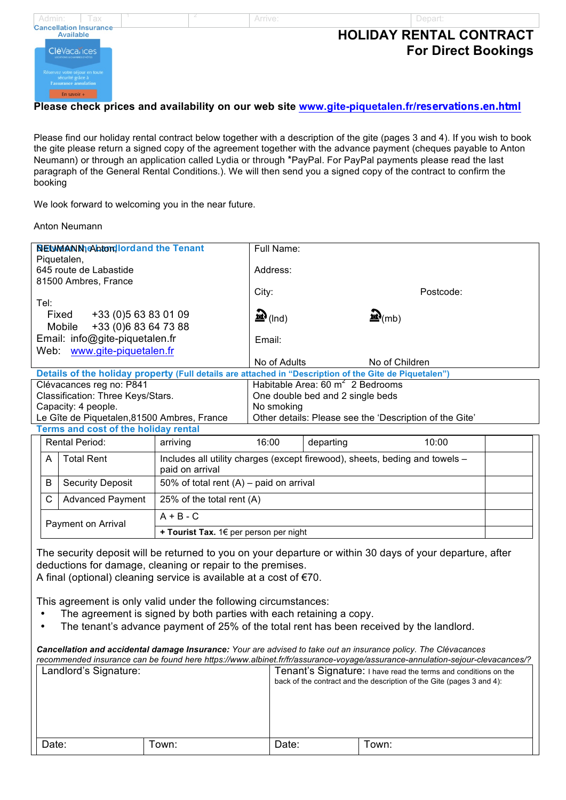

Please find our holiday rental contract below together with a description of the gite (pages 3 and 4). If you wish to book the gite please return a signed copy of the agreement together with the advance payment (cheques payable to Anton Neumann) or through an application called Lydia or through \*PayPal. For PayPal payments please read the last paragraph of the General Rental Conditions.). We will then send you a signed copy of the contract to confirm the booking

We look forward to welcoming you in the near future.

### Anton Neumann

Payment on Arrival

| <b>NEUMANN</b> Ahtordlord and the Tenant                                                               |                                                                             | Full Name:                                              |           |                     |  |
|--------------------------------------------------------------------------------------------------------|-----------------------------------------------------------------------------|---------------------------------------------------------|-----------|---------------------|--|
| Piquetalen,<br>645 route de Labastide                                                                  |                                                                             | Address:                                                |           |                     |  |
| 81500 Ambres, France                                                                                   |                                                                             |                                                         |           |                     |  |
|                                                                                                        |                                                                             | City:                                                   |           | Postcode:           |  |
| Tel:                                                                                                   |                                                                             |                                                         |           |                     |  |
| +33 (0) 5 63 83 01 09<br>Fixed                                                                         |                                                                             | $\mathbf{m}$ (Ind)                                      |           | $\mathbf{R}_{(mb)}$ |  |
| Mobile +33 (0) 6 83 64 73 88                                                                           |                                                                             |                                                         |           |                     |  |
| Email: info@gite-piquetalen.fr                                                                         |                                                                             | Email:                                                  |           |                     |  |
| www.gite-piquetalen.fr<br>Web:                                                                         |                                                                             |                                                         |           |                     |  |
|                                                                                                        |                                                                             | No of Adults                                            |           | No of Children      |  |
| Details of the holiday property (Full details are attached in "Description of the Gite de Piquetalen") |                                                                             |                                                         |           |                     |  |
| Clévacances reg no: P841                                                                               |                                                                             | Habitable Area: 60 $m^2$ 2 Bedrooms                     |           |                     |  |
| Classification: Three Keys/Stars.                                                                      |                                                                             | One double bed and 2 single beds                        |           |                     |  |
| Capacity: 4 people.                                                                                    |                                                                             | No smoking                                              |           |                     |  |
| Le Gîte de Piquetalen, 81500 Ambres, France                                                            |                                                                             | Other details: Please see the 'Description of the Gite' |           |                     |  |
| Terms and cost of the holiday rental                                                                   |                                                                             |                                                         |           |                     |  |
| <b>Rental Period:</b>                                                                                  | arriving                                                                    | 16:00                                                   | departing | 10:00               |  |
| <b>Total Rent</b><br>A                                                                                 | Includes all utility charges (except firewood), sheets, beding and towels – |                                                         |           |                     |  |
|                                                                                                        | paid on arrival                                                             |                                                         |           |                     |  |
| B<br><b>Security Deposit</b>                                                                           | 50% of total rent $(A)$ – paid on arrival                                   |                                                         |           |                     |  |
| C<br><b>Advanced Payment</b>                                                                           | 25% of the total rent (A)                                                   |                                                         |           |                     |  |

The security deposit will be returned to you on your departure or within 30 days of your departure, after deductions for damage, cleaning or repair to the premises.

A final (optional) cleaning service is available at a cost of €70.

 $A + B - C$ 

This agreement is only valid under the following circumstances:

- The agreement is signed by both parties with each retaining a copy.
- The tenant's advance payment of 25% of the total rent has been received by the landlord.

**+ Tourist Tax.** 1€ per person per night

| <b>Cancellation and accidental damage Insurance:</b> Your are advised to take out an insurance policy. The Clévacances | recommended insurance can be found here https://www.albinet.fr/fr/assurance-voyage/assurance-annulation-sejour-clevacances/?             |
|------------------------------------------------------------------------------------------------------------------------|------------------------------------------------------------------------------------------------------------------------------------------|
| Landlord's Signature:                                                                                                  | Tenant's Signature: I have read the terms and conditions on the<br>back of the contract and the description of the Gite (pages 3 and 4): |

| $\overline{\phantom{0}}$<br>$- - - - - -$ | .<br>$\sim$ $    -$ | Town: |
|-------------------------------------------|---------------------|-------|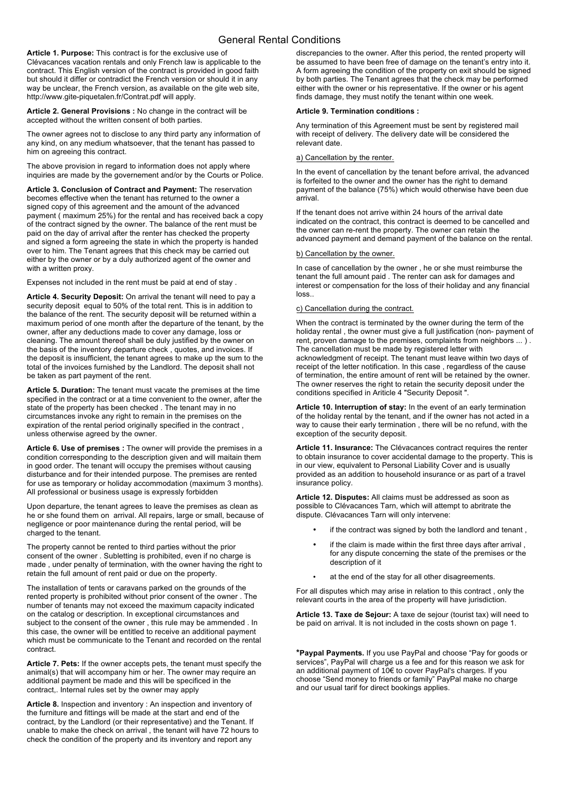### General Rental Conditions

**Article 1. Purpose:** This contract is for the exclusive use of Clévacances vacation rentals and only French law is applicable to the contract. This English version of the contract is provided in good faith but should it differ or contradict the French version or should it in any way be unclear, the French version, as available on the gite web site, http://www.gite-piquetalen.fr/Contrat.pdf will apply.

**Article 2. General Provisions :** No change in the contract will be accepted without the written consent of both parties.

The owner agrees not to disclose to any third party any information of any kind, on any medium whatsoever, that the tenant has passed to him on agreeing this contract.

The above provision in regard to information does not apply where inquiries are made by the governement and/or by the Courts or Police.

**Article 3. Conclusion of Contract and Payment:** The reservation becomes effective when the tenant has returned to the owner a signed copy of this agreement and the amount of the advanced payment ( maximum 25%) for the rental and has received back a copy of the contract signed by the owner. The balance of the rent must be paid on the day of arrival after the renter has checked the property and signed a form agreeing the state in which the property is handed over to him. The Tenant agrees that this check may be carried out either by the owner or by a duly authorized agent of the owner and with a written proxy.

Expenses not included in the rent must be paid at end of stay .

**Article 4. Security Deposit:** On arrival the tenant will need to pay a security deposit equal to 50% of the total rent. This is in addition to the balance of the rent. The security deposit will be returned within a maximum period of one month after the departure of the tenant, by the owner, after any deductions made to cover any damage, loss or cleaning. The amount thereof shall be duly justified by the owner on the basis of the inventory departure check , quotes, and invoices. If the deposit is insufficient, the tenant agrees to make up the sum to the total of the invoices furnished by the Landlord. The deposit shall not be taken as part payment of the rent.

**Article 5. Duration:** The tenant must vacate the premises at the time specified in the contract or at a time convenient to the owner, after the state of the property has been checked . The tenant may in no circumstances invoke any right to remain in the premises on the expiration of the rental period originally specified in the contract , unless otherwise agreed by the owner.

**Article 6. Use of premises :** The owner will provide the premises in a condition corresponding to the description given and will maitain them in good order. The tenant will occupy the premises without causing disturbance and for their intended purpose. The premises are rented for use as temporary or holiday accommodation (maximum 3 months). All professional or business usage is expressly forbidden

Upon departure, the tenant agrees to leave the premises as clean as he or she found them on arrival. All repairs, large or small, because of negligence or poor maintenance during the rental period, will be charged to the tenant.

The property cannot be rented to third parties without the prior consent of the owner . Subletting is prohibited, even if no charge is made , under penalty of termination, with the owner having the right to retain the full amount of rent paid or due on the property.

The installation of tents or caravans parked on the grounds of the rented property is prohibited without prior consent of the owner . The number of tenants may not exceed the maximum capacity indicated on the catalog or description. In exceptional circumstances and subject to the consent of the owner , this rule may be ammended . In this case, the owner will be entitled to receive an additional payment which must be communicate to the Tenant and recorded on the rental contract.

**Article 7. Pets:** If the owner accepts pets, the tenant must specify the animal(s) that will accompany him or her. The owner may require an additional payment be made and this will be specificed in the contract,. Internal rules set by the owner may apply

**Article 8.** Inspection and inventory : An inspection and inventory of the furniture and fittings will be made at the start and end of the contract, by the Landlord (or their representative) and the Tenant. If unable to make the check on arrival , the tenant will have 72 hours to check the condition of the property and its inventory and report any

discrepancies to the owner. After this period, the rented property will be assumed to have been free of damage on the tenant's entry into it. A form agreeing the condition of the property on exit should be signed by both parties. The Tenant agrees that the check may be performed either with the owner or his representative. If the owner or his agent finds damage, they must notify the tenant within one week.

#### **Article 9. Termination conditions :**

Any termination of this Agreement must be sent by registered mail with receipt of delivery. The delivery date will be considered the relevant date.

#### a) Cancellation by the renter.

In the event of cancellation by the tenant before arrival, the advanced is forfeited to the owner and the owner has the right to demand payment of the balance (75%) which would otherwise have been due arrival.

If the tenant does not arrive within 24 hours of the arrival date indicated on the contract, this contract is deemed to be cancelled and the owner can re-rent the property. The owner can retain the advanced payment and demand payment of the balance on the rental.

#### b) Cancellation by the owner.

In case of cancellation by the owner , he or she must reimburse the tenant the full amount paid . The renter can ask for damages and interest or compensation for the loss of their holiday and any financial loss..

#### c) Cancellation during the contract.

When the contract is terminated by the owner during the term of the holiday rental , the owner must give a full justification (non- payment of rent, proven damage to the premises, complaints from neighbors ... ) . The cancellation must be made by registered letter with acknowledgment of receipt. The tenant must leave within two days of receipt of the letter notification. In this case , regardless of the cause of termination, the entire amount of rent will be retained by the owner. The owner reserves the right to retain the security deposit under the conditions specified in Ariticle 4 "Security Deposit ".

**Article 10. Interruption of stay:** In the event of an early termination of the holiday rental by the tenant, and if the owner has not acted in a way to cause their early termination , there will be no refund, with the exception of the security deposit.

**Article 11. Insurance:** The Clévacances contract requires the renter to obtain insurance to cover accidental damage to the property. This is in our view, equivalent to Personal Liability Cover and is usually provided as an addition to household insurance or as part of a travel insurance policy.

**Article 12. Disputes:** All claims must be addressed as soon as possible to Clévacances Tarn, which will attempt to abritrate the dispute. Clévacances Tarn will only intervene:

- if the contract was signed by both the landlord and tenant,
- if the claim is made within the first three days after arrival , for any dispute concerning the state of the premises or the description of it
- at the end of the stay for all other disagreements.

For all disputes which may arise in relation to this contract , only the relevant courts in the area of the property will have jurisdiction.

**Article 13. Taxe de Sejour:** A taxe de sejour (tourist tax) will need to be paid on arrival. It is not included in the costs shown on page 1.

**\*Paypal Payments.** If you use PayPal and choose "Pay for goods or services", PayPal will charge us a fee and for this reason we ask for an additional payment of 10€ to cover PayPal's charges. If you choose "Send money to friends or family" PayPal make no charge and our usual tarif for direct bookings applies.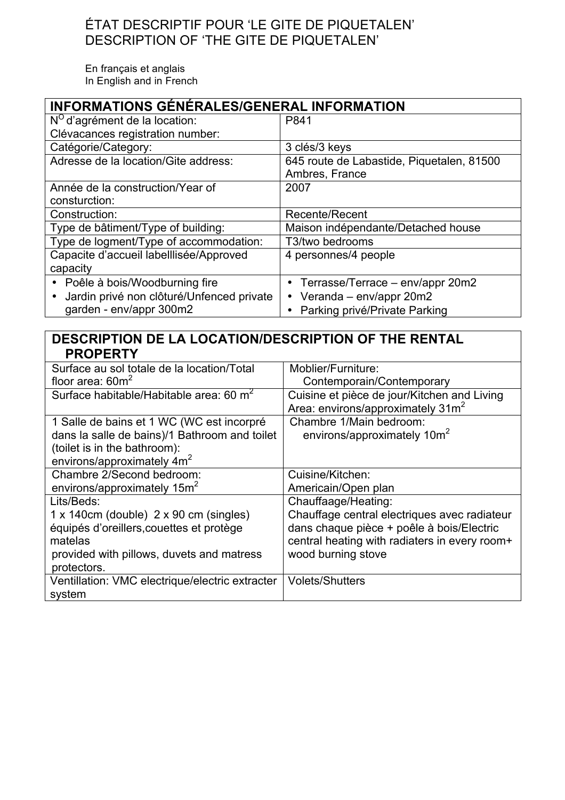# ÉTAT DESCRIPTIF POUR 'LE GITE DE PIQUETALEN' DESCRIPTION OF 'THE GITE DE PIQUETALEN'

En français et anglais In English and in French

| <b>INFORMATIONS GÉNÉRALES/GENERAL INFORMATION</b>      |                                           |  |
|--------------------------------------------------------|-------------------------------------------|--|
| $N^{\circ}$ d'agrément de la location:                 | P841                                      |  |
| Clévacances registration number:                       |                                           |  |
| Catégorie/Category:                                    | 3 clés/3 keys                             |  |
| Adresse de la location/Gite address:                   | 645 route de Labastide, Piquetalen, 81500 |  |
|                                                        | Ambres, France                            |  |
| Année de la construction/Year of                       | 2007                                      |  |
| consturction:                                          |                                           |  |
| Construction:                                          | <b>Recente/Recent</b>                     |  |
| Type de bâtiment/Type of building:                     | Maison indépendante/Detached house        |  |
| Type de logment/Type of accommodation:                 | T3/two bedrooms                           |  |
| Capacite d'accueil labelllisée/Approved                | 4 personnes/4 people                      |  |
| capacity                                               |                                           |  |
| • Poêle à bois/Woodburning fire                        | • Terrasse/Terrace – env/appr 20m2        |  |
| Jardin privé non clôturé/Unfenced private<br>$\bullet$ | Veranda - env/appr 20m2                   |  |
| garden - env/appr 300m2                                | • Parking privé/Private Parking           |  |

## **DESCRIPTION DE LA LOCATION/DESCRIPTION OF THE RENTAL PROPERTY**

| Surface au sol totale de la location/Total            | Moblier/Furniture:                                                                           |
|-------------------------------------------------------|----------------------------------------------------------------------------------------------|
| floor area: $60m^2$                                   | Contemporain/Contemporary                                                                    |
| Surface habitable/Habitable area: 60 m <sup>2</sup>   | Cuisine et pièce de jour/Kitchen and Living<br>Area: environs/approximately 31m <sup>2</sup> |
| 1 Salle de bains et 1 WC (WC est incorpré             | Chambre 1/Main bedroom:                                                                      |
| dans la salle de bains)/1 Bathroom and toilet         | environs/approximately 10m <sup>2</sup>                                                      |
| (toilet is in the bathroom):                          |                                                                                              |
| environs/approximately $4m2$                          |                                                                                              |
| Chambre 2/Second bedroom:                             | Cuisine/Kitchen:                                                                             |
| environs/approximately 15m <sup>2</sup>               | Americain/Open plan                                                                          |
| Lits/Beds:                                            | Chauffaage/Heating:                                                                          |
| $1 \times 140$ cm (double) $2 \times 90$ cm (singles) | Chauffage central electriques avec radiateur                                                 |
| équipés d'oreillers, couettes et protège              | dans chaque pièce + poêle à bois/Electric                                                    |
| matelas                                               | central heating with radiaters in every room+                                                |
| provided with pillows, duvets and matress             | wood burning stove                                                                           |
| protectors.                                           |                                                                                              |
| Ventillation: VMC electrique/electric extracter       | <b>Volets/Shutters</b>                                                                       |
| system                                                |                                                                                              |